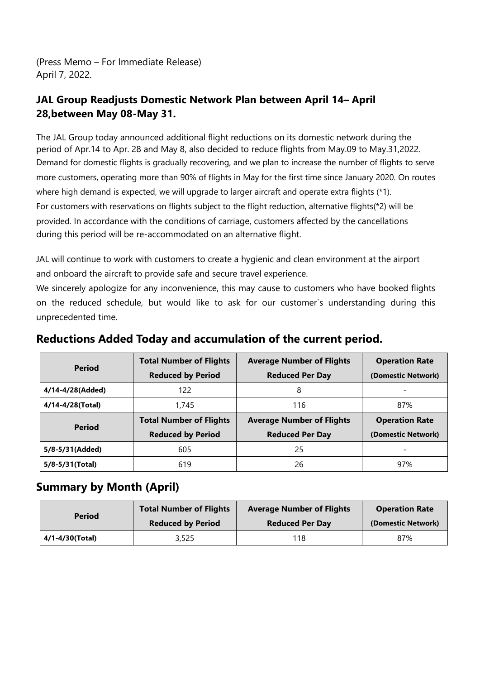(Press Memo – For Immediate Release) April 7, 2022.

## **JAL Group Readjusts Domestic Network Plan between April 14– April 28,between May 08-May 31.**

The JAL Group today announced additional flight reductions on its domestic network during the period of Apr.14 to Apr. 28 and May 8, also decided to reduce flights from May.09 to May.31,2022. Demand for domestic flights is gradually recovering, and we plan to increase the number of flights to serve more customers, operating more than 90% of flights in May for the first time since January 2020. On routes where high demand is expected, we will upgrade to larger aircraft and operate extra flights (\*1). For customers with reservations on flights subject to the flight reduction, alternative flights(\*2) will be provided. In accordance with the conditions of carriage, customers affected by the cancellations during this period will be re-accommodated on an alternative flight.

JAL will continue to work with customers to create a hygienic and clean environment at the airport and onboard the aircraft to provide safe and secure travel experience.

We sincerely apologize for any inconvenience, this may cause to customers who have booked flights on the reduced schedule, but would like to ask for our customer`s understanding during this unprecedented time.

| <b>Period</b>    | <b>Total Number of Flights</b> | <b>Average Number of Flights</b> | <b>Operation Rate</b> |
|------------------|--------------------------------|----------------------------------|-----------------------|
|                  | <b>Reduced by Period</b>       | <b>Reduced Per Day</b>           | (Domestic Network)    |
| 4/14-4/28(Added) | 122                            | 8                                |                       |
| 4/14-4/28(Total) | 1,745                          | 116                              | 87%                   |
|                  |                                |                                  |                       |
|                  | <b>Total Number of Flights</b> | <b>Average Number of Flights</b> | <b>Operation Rate</b> |
| <b>Period</b>    | <b>Reduced by Period</b>       | <b>Reduced Per Day</b>           | (Domestic Network)    |
| 5/8-5/31(Added)  | 605                            | 25                               |                       |

## **Reductions Added Today and accumulation of the current period.**

## **Summary by Month (April)**

| <b>Period</b>   | <b>Total Number of Flights</b> | <b>Average Number of Flights</b> | <b>Operation Rate</b> |
|-----------------|--------------------------------|----------------------------------|-----------------------|
|                 | <b>Reduced by Period</b>       | <b>Reduced Per Day</b>           | (Domestic Network)    |
| 4/1-4/30(Total) | 3,525                          | 118                              | 87%                   |